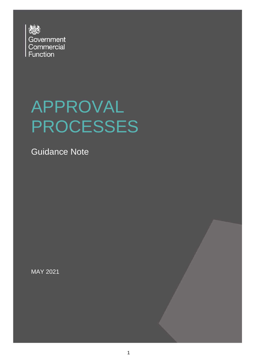

# APPROVAL PROCESSES

Guidance Note

MAY 2021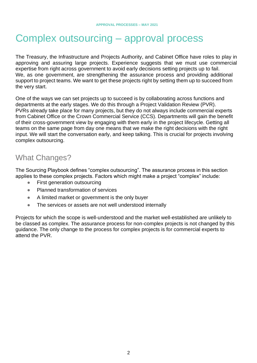## Complex outsourcing – approval process

The Treasury, the Infrastructure and Projects Authority, and Cabinet Office have roles to play in approving and assuring large projects. Experience suggests that we must use commercial expertise from right across government to avoid early decisions setting projects up to fail. We, as one government, are strengthening the assurance process and providing additional support to project teams. We want to get these projects right by setting them up to succeed from the very start.

One of the ways we can set projects up to succeed is by collaborating across functions and departments at the early stages. We do this through a Project Validation Review (PVR). PVRs already take place for many projects, but they do not always include commercial experts from Cabinet Office or the Crown Commercial Service (CCS). Departments will gain the benefit of their cross-government view by engaging with them early in the project lifecycle. Getting all teams on the same page from day one means that we make the right decisions with the right input. We will start the conversation early, and keep talking. This is crucial for projects involving complex outsourcing.

### What Changes?

The Sourcing Playbook defines "complex outsourcing". The assurance process in this section applies to these complex projects. Factors which might make a project "complex" include:

- First generation outsourcing
- Planned transformation of services
- A limited market or government is the only buyer
- The services or assets are not well understood internally

Projects for which the scope is well-understood and the market well-established are unlikely to be classed as complex. The assurance process for non-complex projects is not changed by this guidance. The only change to the process for complex projects is for commercial experts to attend the PVR.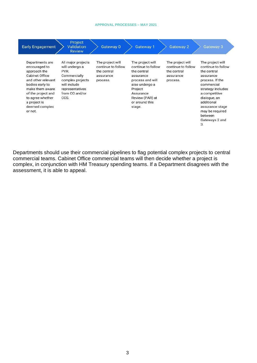#### **APPROVAL PROCESSES – MAY 2021**

| <b>Early Engagement</b>                                                                                                                                                                                                      | <b>Project</b><br><b>Validation</b><br><b>Review</b>                                                                                          | Gateway 0                                                                      | Gateway 1                                                                                                                                                                       | Gateway 2                                                                      | Gateway 3                                                                                                                                                                                                                                        |
|------------------------------------------------------------------------------------------------------------------------------------------------------------------------------------------------------------------------------|-----------------------------------------------------------------------------------------------------------------------------------------------|--------------------------------------------------------------------------------|---------------------------------------------------------------------------------------------------------------------------------------------------------------------------------|--------------------------------------------------------------------------------|--------------------------------------------------------------------------------------------------------------------------------------------------------------------------------------------------------------------------------------------------|
| Departments are<br>encouraged to<br>approach the<br><b>Cabinet Office</b><br>and other relevant<br>bodies early to<br>make them aware<br>of the project and<br>to agree whether<br>a project is<br>deemed complex<br>or not. | All major projects<br>will undergo a<br>PVR.<br>Commercially<br>complex projects<br>will include<br>representatives<br>from CO and/or<br>CCS. | The project will<br>continue to follow<br>the central<br>assurance<br>process. | The project will<br>continue to follow<br>the central<br>assurance<br>process and will<br>also undergo a<br>Project<br>Assurance<br>Review (PAR) at<br>or around this<br>stage. | The project will<br>continue to follow<br>the central<br>assurance<br>process. | The project will<br>continue to follow<br>the central<br>assurance<br>process. If the<br>commercial<br>strategy includes<br>a competitive<br>dialogue, an<br>additional<br>assurance stage<br>may be required<br>between<br>Gateways 2 and<br>3. |

Departments should use their commercial pipelines to flag potential complex projects to central commercial teams. Cabinet Office commercial teams will then decide whether a project is complex, in conjunction with HM Treasury spending teams. If a Department disagrees with the assessment, it is able to appeal.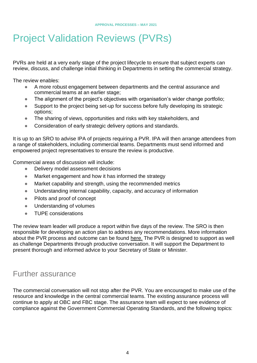# Project Validation Reviews (PVRs)

PVRs are held at a very early stage of the project lifecycle to ensure that subject experts can review, discuss, and challenge initial thinking in Departments in setting the commercial strategy.

The review enables:

- A more robust engagement between departments and the central assurance and commercial teams at an earlier stage;
- The alignment of the project's objectives with organisation's wider change portfolio;
- Support to the project being set-up for success before fully developing its strategic options;
- The sharing of views, opportunities and risks with key stakeholders, and
- Consideration of early strategic delivery options and standards.

It is up to an SRO to advise IPA of projects requiring a PVR. IPA will then arrange attendees from a range of stakeholders, including commercial teams. Departments must send informed and empowered project representatives to ensure the review is productive.

Commercial areas of discussion will include:

- Delivery model assessment decisions
- Market engagement and how it has informed the strategy
- Market capability and strength, using the recommended metrics
- Understanding internal capability, capacity, and accuracy of information
- Pilots and proof of concept
- Understanding of volumes
- TUPE considerations

The review team leader will produce a report within five days of the review. The SRO is then responsible for developing an action plan to address any recommendations. More information about the PVR process and outcome can be found here. The PVR is designed to support as well as challenge Departments through productive conversation. It will support the Department to present thorough and informed advice to your Secretary of State or Minister.

### Further assurance

The commercial conversation will not stop after the PVR. You are encouraged to make use of the resource and knowledge in the central commercial teams. The existing assurance process will continue to apply at OBC and FBC stage. The assurance team will expect to see evidence of compliance against the Government Commercial Operating Standards, and the following topics: